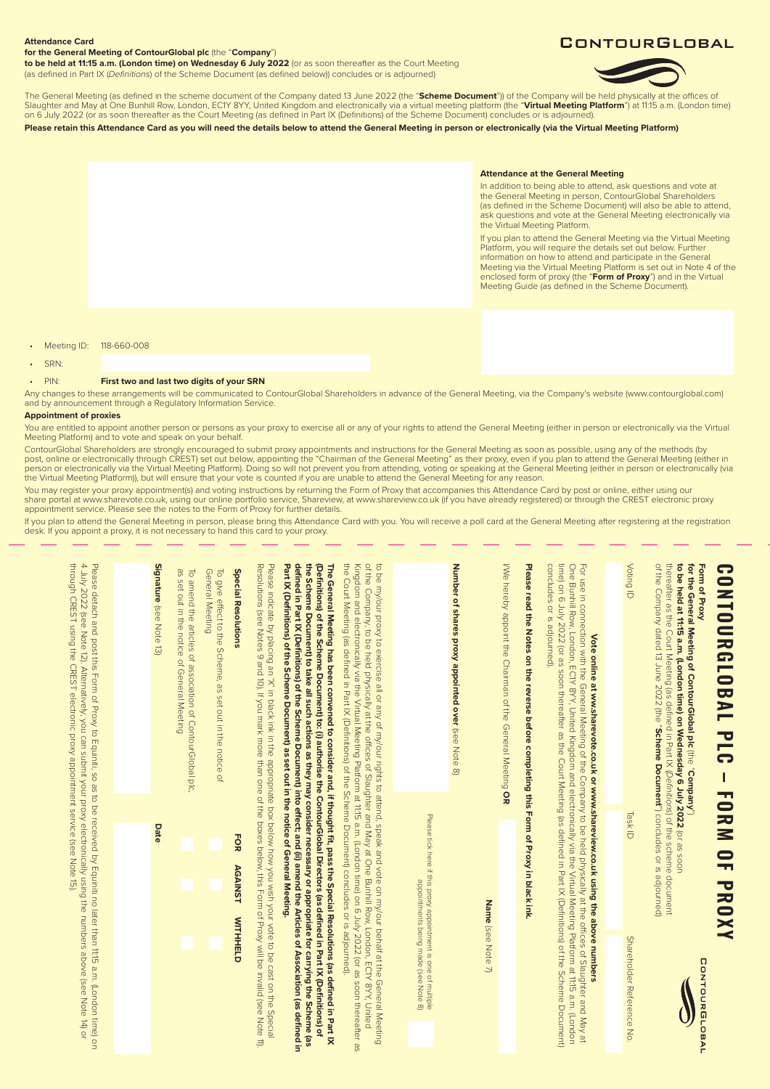## **Attendance Card**

#### **for the General Meeting of ContourGlobal plc** (the "**Company**")

**to be held at 11:15 a.m. (London time) on Wednesday 6 July 2022** (or as soon thereafter as the Court Meeting (as defined in Part IX (*Definitions*) of the Scheme Document (as defined below)) concludes or is adjourned)

# CONTOURGLOBAL



The General Meeting (as defined in the scheme document of the Company dated 13 June 2022 (the "**Scheme Document**")) of the Company will be held physically at the offices of<br>Slaughter and May at One Bunhill Row, London, EC1 on 6 July 2022 (or as soon thereafter as the Court Meeting (as defined in Part IX (Definitions) of the Scheme Document) concludes or is adjourned)

**Please retain this Attendance Card as you will need the details below to attend the General Meeting in person or electronically (via the Virtual Meeting Platform)**

#### **Attendance at the General Meeting**

In addition to being able to attend, ask questions and vote at the General Meeting in person, ContourGlobal Shareholders (as defined in the Scheme Document) will also be able to attend, ask questions and vote at the General Meeting electronically via the Virtual Meeting Platform.

If you plan to attend the General Meeting via the Virtual Meeting Platform, you will require the details set out below. Further information on how to attend and participate in the General Meeting via the Virtual Meeting Platform is set out in Note 4 of the enclosed form of proxy (the "**Form of Proxy**") and in the Virtual Meeting Guide (as defined in the Scheme Document).

Meeting ID: 118-660-008

• SRN:

#### • PIN: **First two and last two digits of your SRN**

Any changes to these arrangements will be communicated to ContourGlobal Shareholders in advance of the General Meeting, via the Company's website (www.contourglobal.com) and by announcement through a Regulatory Information Service.

### **Appointment of proxies**

You are entitled to appoint another person or persons as your proxy to exercise all or any of your rights to attend the General Meeting (either in person or electronically via the Virtual Meeting Platform) and to vote and speak on your behalf.

ContourGlobal Shareholders are strongly encouraged to submit proxy appointments and instructions for the General Meeting as soon as possible, using any of the methods (by<br>post, online or electronically through CREST) set o the Virtual Meeting Platform)), but will ensure that your vote is counted if you are unable to attend the General Meeting for any reason.

You may register your proxy appointment(s) and voting instructions by returning the Form of Proxy that accompanies this Attendance Card by post or online, either using our<br>share portal at www.sharevote.co.uk, using our onl

lf you plan to attend the General Meeting in person, please bring this Attendance Card with you. You will receive a poll card at the General Meeting after registering at the registration<br>desk. If you appoint a proxy, it is

| CONDURGIOBAL PLC - FORN OF PROXY                                                                                                                                                                                                                                                                                                                                                                                                                                                                                                                                                                                            |                                                                                                                                      |                             |
|-----------------------------------------------------------------------------------------------------------------------------------------------------------------------------------------------------------------------------------------------------------------------------------------------------------------------------------------------------------------------------------------------------------------------------------------------------------------------------------------------------------------------------------------------------------------------------------------------------------------------------|--------------------------------------------------------------------------------------------------------------------------------------|-----------------------------|
| thereafter as the Court Meeting (as defined in Part IX ( <i>Definitions</i> ) of the scheme document<br>of the Company dated 13 June 2022 (the " <b>Scheme Document</b> ") concludes or is adjoumed)<br>for the General Meeting of ContourGlobal plc (the "Company")<br>to be held at 11:15 a.m. (London time) on Wednesday 6 July 2022 (or as soon<br>Form of Proxy                                                                                                                                                                                                                                                        |                                                                                                                                      | CONTOURGLOBAL               |
| Voting ID                                                                                                                                                                                                                                                                                                                                                                                                                                                                                                                                                                                                                   | <b>Task ID</b>                                                                                                                       | Shareholder Reference<br>No |
|                                                                                                                                                                                                                                                                                                                                                                                                                                                                                                                                                                                                                             |                                                                                                                                      |                             |
| time) on 6 July 2022 (or as soon thereafter as the Court Meeting (as defined in Part IX (Definitions) of the Scheme Document)<br>concludes or is adjourned).<br>For use in connection with the General Meeting of the Company to be held physically at the offices of Slaughter and May at<br>One Bunhill Row, London, ECIY 8YY, United Kingdom and electronically via the Virtual Meeting Platfo<br>Vote online at ww.sharevote.co.uk or www.shareview.co.uk using the above numbers                                                                                                                                       |                                                                                                                                      |                             |
| Please read the Notes on the reverse before completing this Form of Proxy in black ink.                                                                                                                                                                                                                                                                                                                                                                                                                                                                                                                                     |                                                                                                                                      |                             |
| I/We hereby appoint the Chairman of the General Meeting OR                                                                                                                                                                                                                                                                                                                                                                                                                                                                                                                                                                  |                                                                                                                                      |                             |
|                                                                                                                                                                                                                                                                                                                                                                                                                                                                                                                                                                                                                             | Name (see Note 7)                                                                                                                    |                             |
| Number of shares proxy appointed over (see Note 8)                                                                                                                                                                                                                                                                                                                                                                                                                                                                                                                                                                          |                                                                                                                                      |                             |
|                                                                                                                                                                                                                                                                                                                                                                                                                                                                                                                                                                                                                             | Please tick here if this proxy appointment is one of multiple<br>Please tick here if this proxy appointments being made (see Note 8) |                             |
| the Court Neeting (as defined in Part X (Definitions) of the Scheme Document) concludes or is adjourned.)<br>Kingdom and electronically via the Virtual Meeting Platform at 11:15 a.m. (London time) on 6 July 2022 (or as soon thereafter as<br>of the Company, to be held physically at the offices of Slaughter and May at One Bunhill Row, London, ECYY 8YY, United<br>to be my/our proxy to exercise all or any of my/our rights to attend, speak and vote on my/our behalf at the General Meeting                                                                                                                     |                                                                                                                                      |                             |
| defined in Pat IX (Definitions) of the Scheme Document) into effect; and (ii) amend the Articles of Association (as defined in<br>the Scheme Document) to take all such actions as they may consider necessary or appropriate for carrying the Scheme (as<br>(Definitions) of the Scheme Document) to: (i) authorise the ContourGlobal Directors (as defined in Part IX (Definitions) of<br>Part X (Définitions) of the Scheme Document) as set out in the modic of General Media in Sections<br>The General Meeting has been convened to consider and, if thought fit, pass the Special Resolutions (as defined in Part IX |                                                                                                                                      |                             |
| Resolutions (see Notes 9 and 10). If you mark more than one of the boxes below, this Form of Proxy will be invalid (see Note 11).<br>Please indicate by placing an 'X' in black ink in the appropriate box below how you wish your vote to be cast on the Special                                                                                                                                                                                                                                                                                                                                                           |                                                                                                                                      |                             |
| <b>Special Resolutions</b><br>General Meeting<br>To give effect to the Scheme, as set out in the notice of                                                                                                                                                                                                                                                                                                                                                                                                                                                                                                                  | FOR<br><b>AGAINST</b><br><b>WITHHELD</b>                                                                                             |                             |
| as set out in the notice of General Meeting<br>To amend the articles of association of ContourGlobal plc.                                                                                                                                                                                                                                                                                                                                                                                                                                                                                                                   |                                                                                                                                      |                             |
| Signature (see Note 13)                                                                                                                                                                                                                                                                                                                                                                                                                                                                                                                                                                                                     | Date                                                                                                                                 |                             |
|                                                                                                                                                                                                                                                                                                                                                                                                                                                                                                                                                                                                                             |                                                                                                                                      |                             |
| through CREST using the CREST electronic proxy appointment service (see Note 15).<br>4 July 2022 (see Note 12). Alternatively, you can submit your proxy electronically using the numbers above (see Note 14) or<br>Please detach and post this Form of Proxy to Equiniti, so as to be received by Equiniti no later than 11:15 a.m. (London time) on                                                                                                                                                                                                                                                                       |                                                                                                                                      |                             |